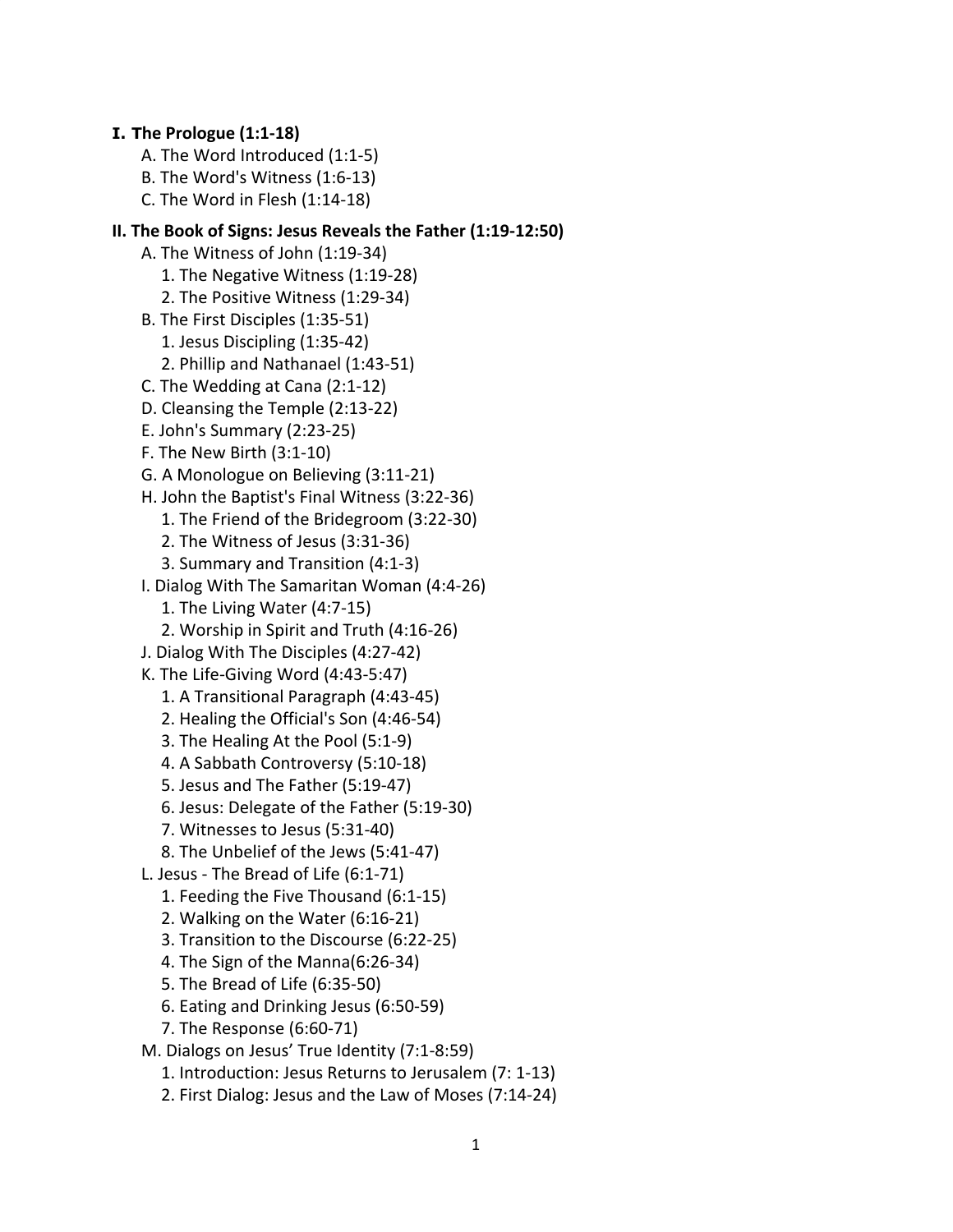## **I. The Prologue (1:1-18)**

- A. The Word Introduced (1:1-5)
- B. The Word's Witness (1:6-13)
- C. The Word in Flesh (1:14-18)

## **II. The Book of Signs: Jesus Reveals the Father (1:19-12:50)**

A. The Witness of John (1:19-34) 1. The Negative Witness (1:19-28)

- 2. The Positive Witness (1:29-34)
- B. The First Disciples (1:35-51)
	- 1. Jesus Discipling (1:35-42)
	- 2. Phillip and Nathanael (1:43-51)
- C. The Wedding at Cana (2:1-12)
- D. Cleansing the Temple (2:13-22)
- E. John's Summary (2:23-25)
- F. The New Birth (3:1-10)
- G. A Monologue on Believing (3:11-21)
- H. John the Baptist's Final Witness (3:22-36)
	- 1. The Friend of the Bridegroom (3:22-30)
	- 2. The Witness of Jesus (3:31-36)
	- 3. Summary and Transition (4:1-3)
- I. Dialog With The Samaritan Woman (4:4-26)
	- 1. The Living Water (4:7-15)
	- 2. Worship in Spirit and Truth (4:16-26)
- J. Dialog With The Disciples (4:27-42)
- K. The Life-Giving Word (4:43-5:47)
	- 1. A Transitional Paragraph (4:43-45)
	- 2. Healing the Official's Son (4:46-54)
	- 3. The Healing At the Pool (5:1-9)
	- 4. A Sabbath Controversy (5:10-18)
	- 5. Jesus and The Father (5:19-47)
	- 6. Jesus: Delegate of the Father (5:19-30)
	- 7. Witnesses to Jesus (5:31-40)
	- 8. The Unbelief of the Jews (5:41-47)
- L. Jesus The Bread of Life (6:1-71)
	- 1. Feeding the Five Thousand (6:1-15)
	- 2. Walking on the Water (6:16-21)
	- 3. Transition to the Discourse (6:22-25)
	- 4. The Sign of the Manna(6:26-34)
	- 5. The Bread of Life (6:35-50)
	- 6. Eating and Drinking Jesus (6:50-59)
	- 7. The Response (6:60-71)
- M. Dialogs on Jesus' True Identity (7:1-8:59)
	- 1. Introduction: Jesus Returns to Jerusalem (7: 1-13)
	- 2. First Dialog: Jesus and the Law of Moses (7:14-24)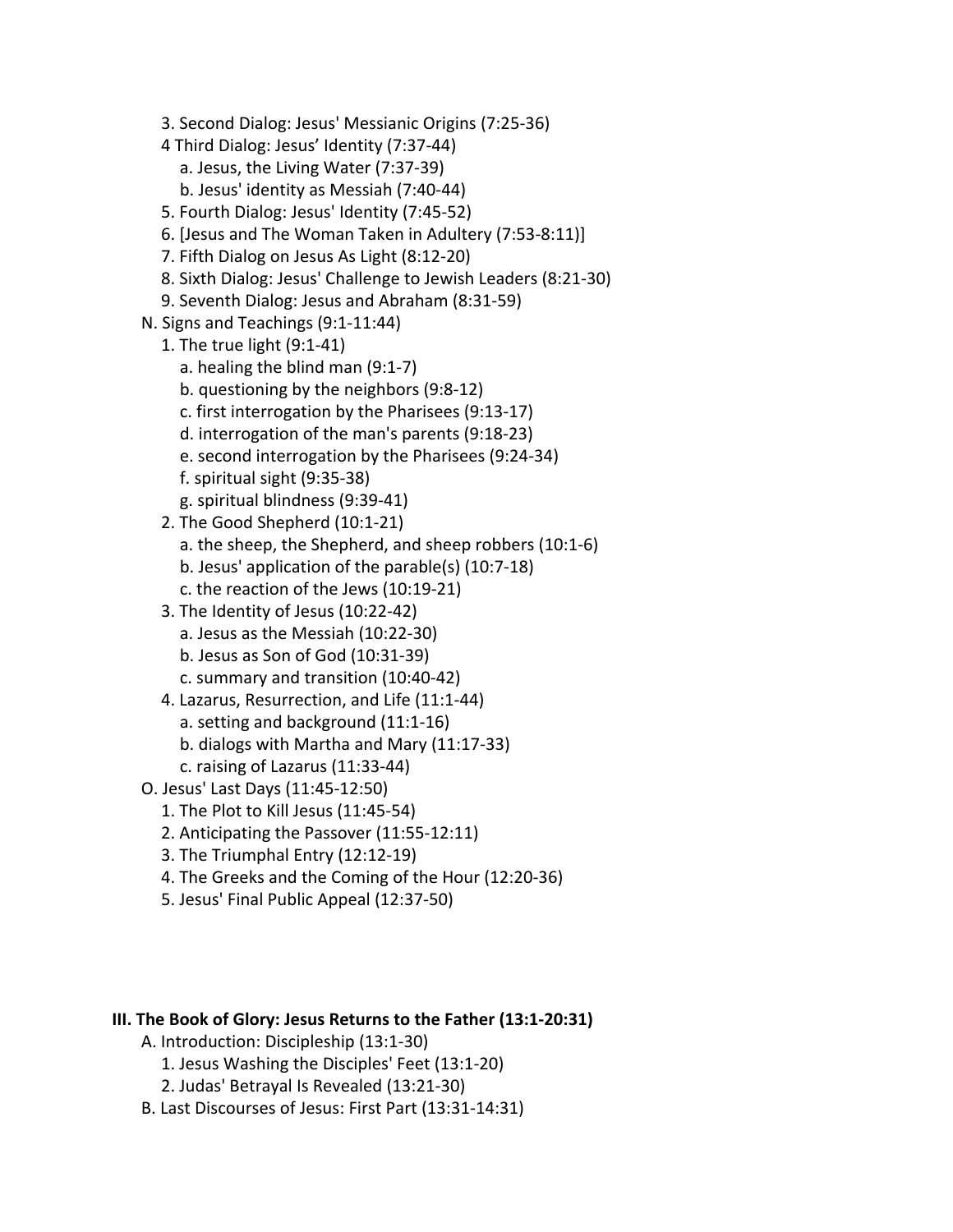- 3. Second Dialog: Jesus' Messianic Origins (7:25-36)
- 4 Third Dialog: Jesus' Identity (7:37-44)
	- a. Jesus, the Living Water (7:37-39)
	- b. Jesus' identity as Messiah (7:40-44)
- 5. Fourth Dialog: Jesus' Identity (7:45-52)
- 6. [Jesus and The Woman Taken in Adultery (7:53-8:11)]
- 7. Fifth Dialog on Jesus As Light (8:12-20)
- 8. Sixth Dialog: Jesus' Challenge to Jewish Leaders (8:21-30)
- 9. Seventh Dialog: Jesus and Abraham (8:31-59)
- N. Signs and Teachings (9:1-11:44)
	- 1. The true light (9:1-41)
		- a. healing the blind man (9:1-7)
		- b. questioning by the neighbors (9:8-12)
		- c. first interrogation by the Pharisees (9:13-17)
		- d. interrogation of the man's parents (9:18-23)
		- e. second interrogation by the Pharisees (9:24-34)
		- f. spiritual sight (9:35-38)
		- g. spiritual blindness (9:39-41)
	- 2. The Good Shepherd (10:1-21)
		- a. the sheep, the Shepherd, and sheep robbers (10:1-6)
		- b. Jesus' application of the parable(s) (10:7-18)
		- c. the reaction of the Jews (10:19-21)
	- 3. The Identity of Jesus (10:22-42)
		- a. Jesus as the Messiah (10:22-30)
		- b. Jesus as Son of God (10:31-39)
		- c. summary and transition (10:40-42)
	- 4. Lazarus, Resurrection, and Life (11:1-44)
		- a. setting and background (11:1-16)
		- b. dialogs with Martha and Mary (11:17-33)
	- c. raising of Lazarus (11:33-44)
- O. Jesus' Last Days (11:45-12:50)
	- 1. The Plot to Kill Jesus (11:45-54)
	- 2. Anticipating the Passover (11:55-12:11)
	- 3. The Triumphal Entry (12:12-19)
	- 4. The Greeks and the Coming of the Hour (12:20-36)
	- 5. Jesus' Final Public Appeal (12:37-50)

## **III. The Book of Glory: Jesus Returns to the Father (13:1-20:31)**

- A. Introduction: Discipleship (13:1-30)
	- 1. Jesus Washing the Disciples' Feet (13:1-20)
	- 2. Judas' Betrayal Is Revealed (13:21-30)
- B. Last Discourses of Jesus: First Part (13:31-14:31)